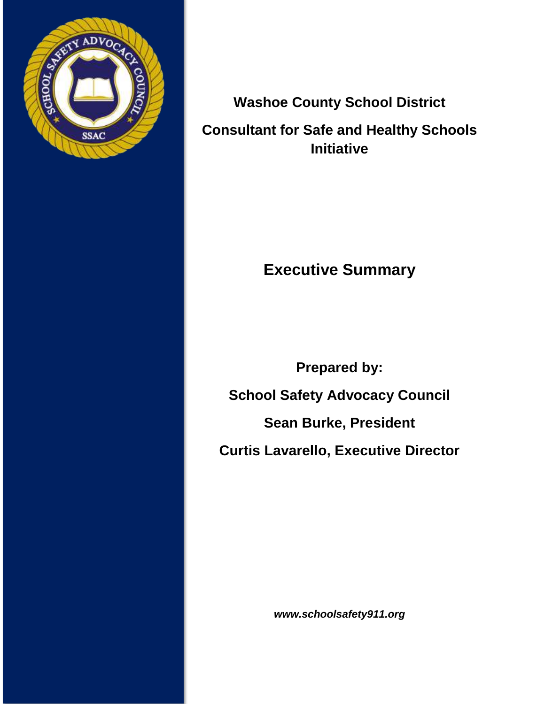

# **Washoe County School District Consultant for Safe and Healthy Schools Initiative**

# **Executive Summary**

**Prepared by: School Safety Advocacy Council Sean Burke, President Curtis Lavarello, Executive Director**

*www.schoolsafety911.org*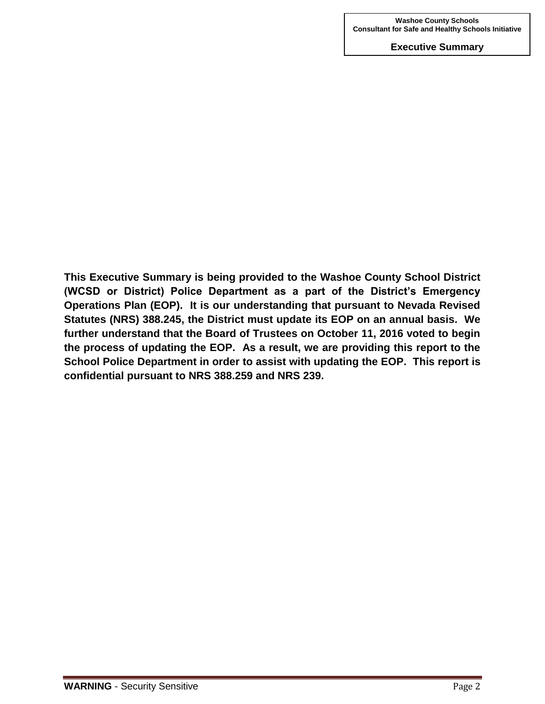**This Executive Summary is being provided to the Washoe County School District (WCSD or District) Police Department as a part of the District's Emergency Operations Plan (EOP). It is our understanding that pursuant to Nevada Revised Statutes (NRS) 388.245, the District must update its EOP on an annual basis. We further understand that the Board of Trustees on October 11, 2016 voted to begin the process of updating the EOP. As a result, we are providing this report to the School Police Department in order to assist with updating the EOP. This report is confidential pursuant to NRS 388.259 and NRS 239.**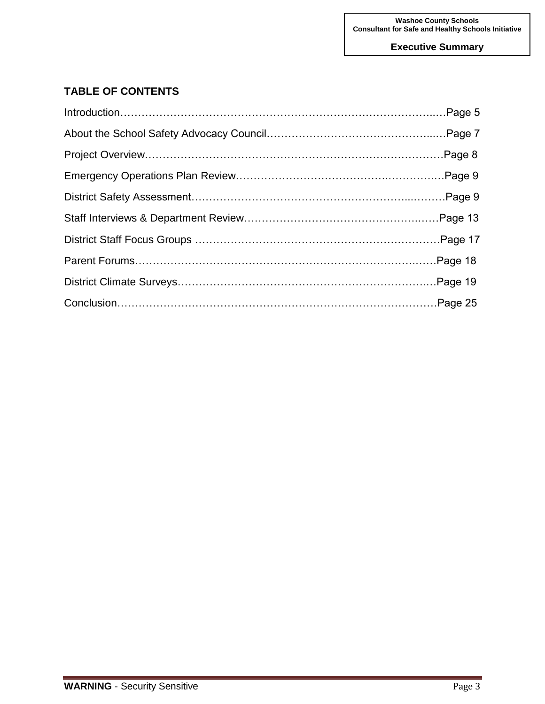# **TABLE OF CONTENTS**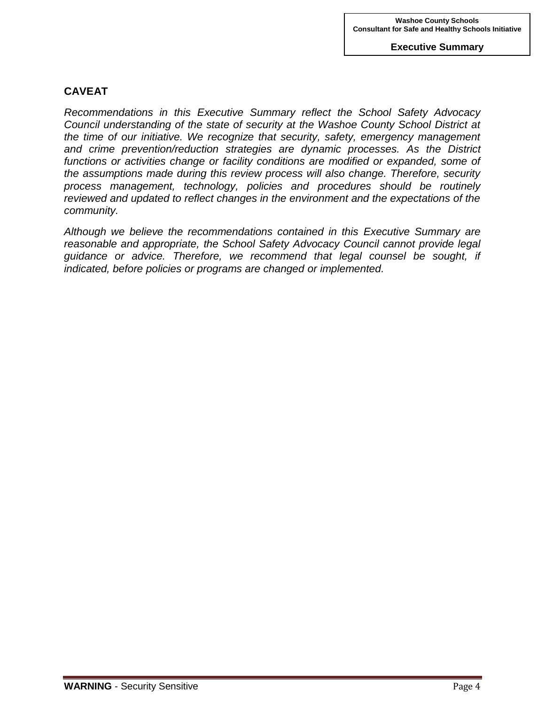# **CAVEAT**

*Recommendations in this Executive Summary reflect the School Safety Advocacy Council understanding of the state of security at the Washoe County School District at the time of our initiative. We recognize that security, safety, emergency management and crime prevention/reduction strategies are dynamic processes. As the District*  functions or activities change or facility conditions are modified or expanded, some of *the assumptions made during this review process will also change. Therefore, security process management, technology, policies and procedures should be routinely reviewed and updated to reflect changes in the environment and the expectations of the community.*

*Although we believe the recommendations contained in this Executive Summary are reasonable and appropriate, the School Safety Advocacy Council cannot provide legal guidance or advice. Therefore, we recommend that legal counsel be sought, if indicated, before policies or programs are changed or implemented.*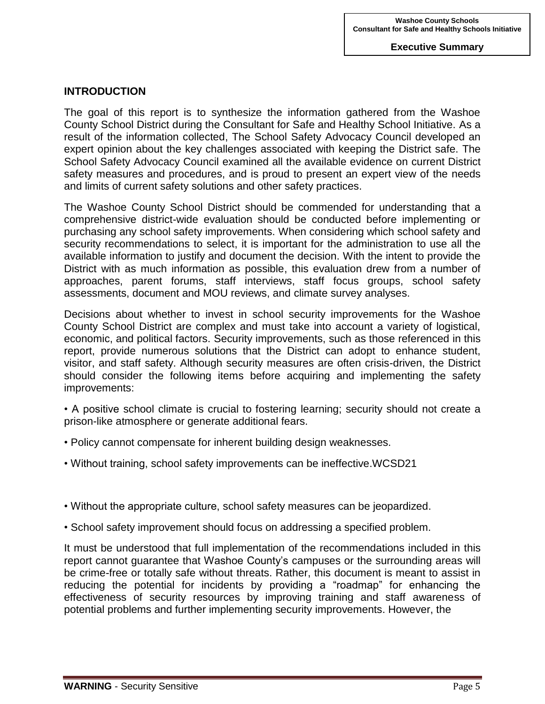# **INTRODUCTION**

The goal of this report is to synthesize the information gathered from the Washoe County School District during the Consultant for Safe and Healthy School Initiative. As a result of the information collected, The School Safety Advocacy Council developed an expert opinion about the key challenges associated with keeping the District safe. The School Safety Advocacy Council examined all the available evidence on current District safety measures and procedures, and is proud to present an expert view of the needs and limits of current safety solutions and other safety practices.

The Washoe County School District should be commended for understanding that a comprehensive district-wide evaluation should be conducted before implementing or purchasing any school safety improvements. When considering which school safety and security recommendations to select, it is important for the administration to use all the available information to justify and document the decision. With the intent to provide the District with as much information as possible, this evaluation drew from a number of approaches, parent forums, staff interviews, staff focus groups, school safety assessments, document and MOU reviews, and climate survey analyses.

Decisions about whether to invest in school security improvements for the Washoe County School District are complex and must take into account a variety of logistical, economic, and political factors. Security improvements, such as those referenced in this report, provide numerous solutions that the District can adopt to enhance student, visitor, and staff safety. Although security measures are often crisis-driven, the District should consider the following items before acquiring and implementing the safety improvements:

- A positive school climate is crucial to fostering learning; security should not create a prison-like atmosphere or generate additional fears.
- Policy cannot compensate for inherent building design weaknesses.
- Without training, school safety improvements can be ineffective.WCSD21
- Without the appropriate culture, school safety measures can be jeopardized.
- School safety improvement should focus on addressing a specified problem.

It must be understood that full implementation of the recommendations included in this report cannot guarantee that Washoe County's campuses or the surrounding areas will be crime-free or totally safe without threats. Rather, this document is meant to assist in reducing the potential for incidents by providing a "roadmap" for enhancing the effectiveness of security resources by improving training and staff awareness of potential problems and further implementing security improvements. However, the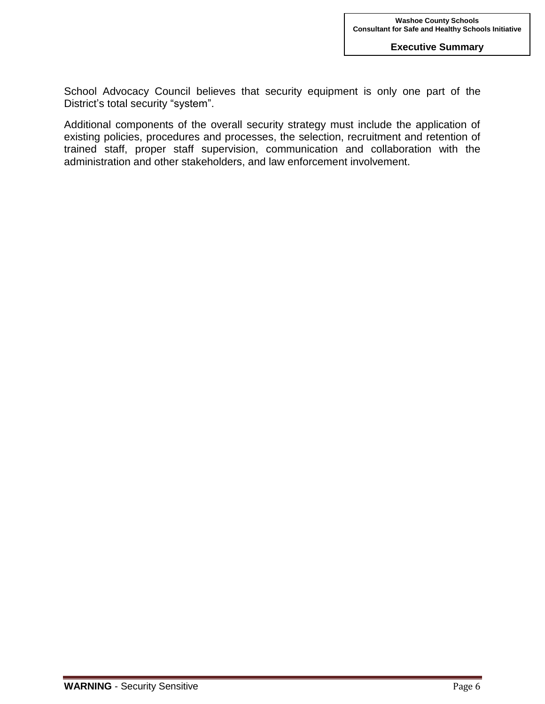School Advocacy Council believes that security equipment is only one part of the District's total security "system".

Additional components of the overall security strategy must include the application of existing policies, procedures and processes, the selection, recruitment and retention of trained staff, proper staff supervision, communication and collaboration with the administration and other stakeholders, and law enforcement involvement.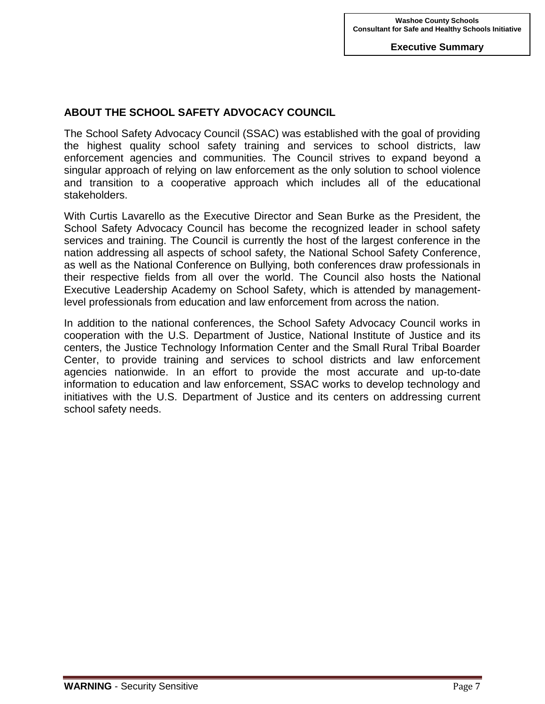# **ABOUT THE SCHOOL SAFETY ADVOCACY COUNCIL**

The School Safety Advocacy Council (SSAC) was established with the goal of providing the highest quality school safety training and services to school districts, law enforcement agencies and communities. The Council strives to expand beyond a singular approach of relying on law enforcement as the only solution to school violence and transition to a cooperative approach which includes all of the educational stakeholders.

With Curtis Lavarello as the Executive Director and Sean Burke as the President, the School Safety Advocacy Council has become the recognized leader in school safety services and training. The Council is currently the host of the largest conference in the nation addressing all aspects of school safety, the National School Safety Conference, as well as the National Conference on Bullying, both conferences draw professionals in their respective fields from all over the world. The Council also hosts the National Executive Leadership Academy on School Safety, which is attended by managementlevel professionals from education and law enforcement from across the nation.

In addition to the national conferences, the School Safety Advocacy Council works in cooperation with the U.S. Department of Justice, National Institute of Justice and its centers, the Justice Technology Information Center and the Small Rural Tribal Boarder Center, to provide training and services to school districts and law enforcement agencies nationwide. In an effort to provide the most accurate and up-to-date information to education and law enforcement, SSAC works to develop technology and initiatives with the U.S. Department of Justice and its centers on addressing current school safety needs.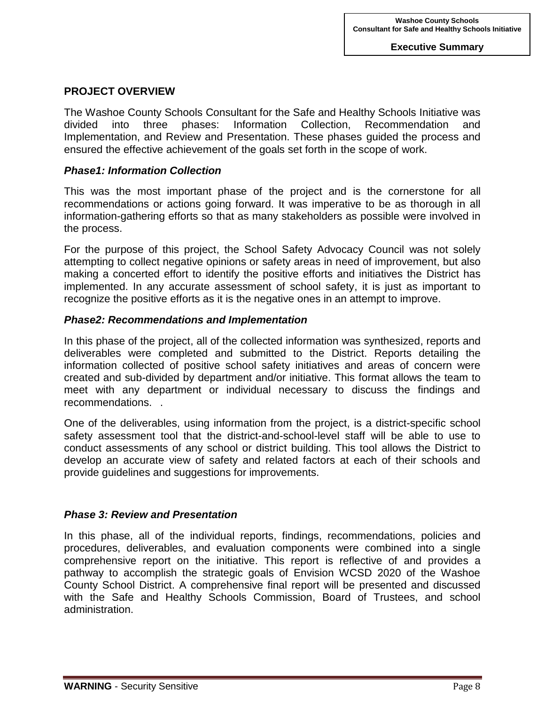# **PROJECT OVERVIEW**

The Washoe County Schools Consultant for the Safe and Healthy Schools Initiative was divided into three phases: Information Collection, Recommendation and Implementation, and Review and Presentation. These phases guided the process and ensured the effective achievement of the goals set forth in the scope of work.

#### *Phase1: Information Collection*

This was the most important phase of the project and is the cornerstone for all recommendations or actions going forward. It was imperative to be as thorough in all information-gathering efforts so that as many stakeholders as possible were involved in the process.

For the purpose of this project, the School Safety Advocacy Council was not solely attempting to collect negative opinions or safety areas in need of improvement, but also making a concerted effort to identify the positive efforts and initiatives the District has implemented. In any accurate assessment of school safety, it is just as important to recognize the positive efforts as it is the negative ones in an attempt to improve.

#### *Phase2: Recommendations and Implementation*

In this phase of the project, all of the collected information was synthesized, reports and deliverables were completed and submitted to the District. Reports detailing the information collected of positive school safety initiatives and areas of concern were created and sub-divided by department and/or initiative. This format allows the team to meet with any department or individual necessary to discuss the findings and recommendations. .

One of the deliverables, using information from the project, is a district-specific school safety assessment tool that the district-and-school-level staff will be able to use to conduct assessments of any school or district building. This tool allows the District to develop an accurate view of safety and related factors at each of their schools and provide guidelines and suggestions for improvements.

## *Phase 3: Review and Presentation*

In this phase, all of the individual reports, findings, recommendations, policies and procedures, deliverables, and evaluation components were combined into a single comprehensive report on the initiative. This report is reflective of and provides a pathway to accomplish the strategic goals of Envision WCSD 2020 of the Washoe County School District. A comprehensive final report will be presented and discussed with the Safe and Healthy Schools Commission, Board of Trustees, and school administration.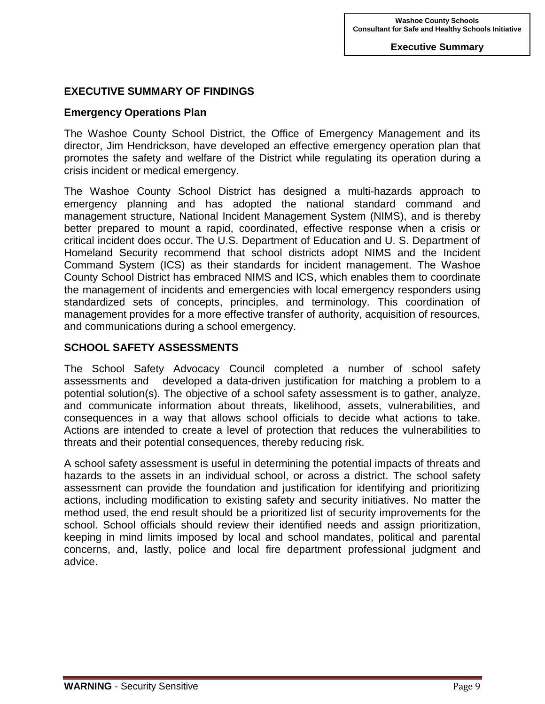# **EXECUTIVE SUMMARY OF FINDINGS**

#### **Emergency Operations Plan**

The Washoe County School District, the Office of Emergency Management and its director, Jim Hendrickson, have developed an effective emergency operation plan that promotes the safety and welfare of the District while regulating its operation during a crisis incident or medical emergency.

The Washoe County School District has designed a multi-hazards approach to emergency planning and has adopted the national standard command and management structure, National Incident Management System (NIMS), and is thereby better prepared to mount a rapid, coordinated, effective response when a crisis or critical incident does occur. The U.S. Department of Education and U. S. Department of Homeland Security recommend that school districts adopt NIMS and the Incident Command System (ICS) as their standards for incident management. The Washoe County School District has embraced NIMS and ICS, which enables them to coordinate the management of incidents and emergencies with local emergency responders using standardized sets of concepts, principles, and terminology. This coordination of management provides for a more effective transfer of authority, acquisition of resources, and communications during a school emergency.

#### **SCHOOL SAFETY ASSESSMENTS**

The School Safety Advocacy Council completed a number of school safety assessments and developed a data-driven justification for matching a problem to a potential solution(s). The objective of a school safety assessment is to gather, analyze, and communicate information about threats, likelihood, assets, vulnerabilities, and consequences in a way that allows school officials to decide what actions to take. Actions are intended to create a level of protection that reduces the vulnerabilities to threats and their potential consequences, thereby reducing risk.

A school safety assessment is useful in determining the potential impacts of threats and hazards to the assets in an individual school, or across a district. The school safety assessment can provide the foundation and justification for identifying and prioritizing actions, including modification to existing safety and security initiatives. No matter the method used, the end result should be a prioritized list of security improvements for the school. School officials should review their identified needs and assign prioritization, keeping in mind limits imposed by local and school mandates, political and parental concerns, and, lastly, police and local fire department professional judgment and advice.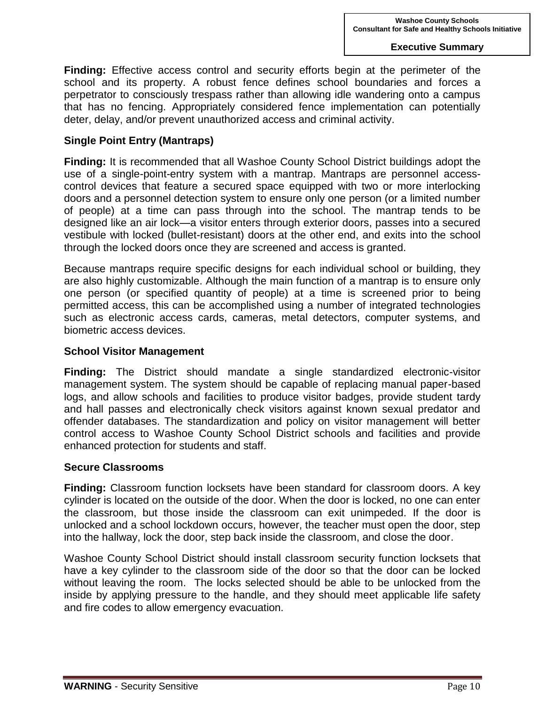**Finding:** Effective access control and security efforts begin at the perimeter of the school and its property. A robust fence defines school boundaries and forces a perpetrator to consciously trespass rather than allowing idle wandering onto a campus that has no fencing. Appropriately considered fence implementation can potentially deter, delay, and/or prevent unauthorized access and criminal activity.

#### **Single Point Entry (Mantraps)**

**Finding:** It is recommended that all Washoe County School District buildings adopt the use of a single-point-entry system with a mantrap. Mantraps are personnel accesscontrol devices that feature a secured space equipped with two or more interlocking doors and a personnel detection system to ensure only one person (or a limited number of people) at a time can pass through into the school. The mantrap tends to be designed like an air lock—a visitor enters through exterior doors, passes into a secured vestibule with locked (bullet-resistant) doors at the other end, and exits into the school through the locked doors once they are screened and access is granted.

Because mantraps require specific designs for each individual school or building, they are also highly customizable. Although the main function of a mantrap is to ensure only one person (or specified quantity of people) at a time is screened prior to being permitted access, this can be accomplished using a number of integrated technologies such as electronic access cards, cameras, metal detectors, computer systems, and biometric access devices.

#### **School Visitor Management**

**Finding:** The District should mandate a single standardized electronic-visitor management system. The system should be capable of replacing manual paper-based logs, and allow schools and facilities to produce visitor badges, provide student tardy and hall passes and electronically check visitors against known sexual predator and offender databases. The standardization and policy on visitor management will better control access to Washoe County School District schools and facilities and provide enhanced protection for students and staff.

#### **Secure Classrooms**

**Finding:** Classroom function locksets have been standard for classroom doors. A key cylinder is located on the outside of the door. When the door is locked, no one can enter the classroom, but those inside the classroom can exit unimpeded. If the door is unlocked and a school lockdown occurs, however, the teacher must open the door, step into the hallway, lock the door, step back inside the classroom, and close the door.

Washoe County School District should install classroom security function locksets that have a key cylinder to the classroom side of the door so that the door can be locked without leaving the room. The locks selected should be able to be unlocked from the inside by applying pressure to the handle, and they should meet applicable life safety and fire codes to allow emergency evacuation.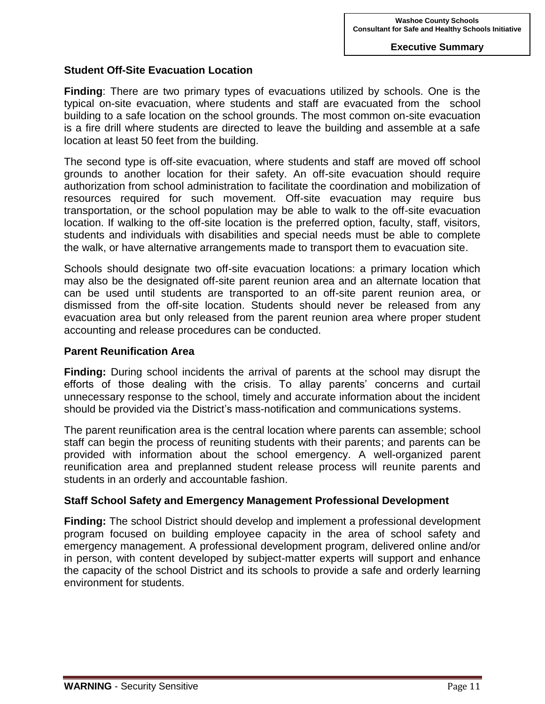#### **Student Off-Site Evacuation Location**

**Finding**: There are two primary types of evacuations utilized by schools. One is the typical on-site evacuation, where students and staff are evacuated from the school building to a safe location on the school grounds. The most common on-site evacuation is a fire drill where students are directed to leave the building and assemble at a safe location at least 50 feet from the building.

The second type is off-site evacuation, where students and staff are moved off school grounds to another location for their safety. An off-site evacuation should require authorization from school administration to facilitate the coordination and mobilization of resources required for such movement. Off-site evacuation may require bus transportation, or the school population may be able to walk to the off-site evacuation location. If walking to the off-site location is the preferred option, faculty, staff, visitors, students and individuals with disabilities and special needs must be able to complete the walk, or have alternative arrangements made to transport them to evacuation site.

Schools should designate two off-site evacuation locations: a primary location which may also be the designated off-site parent reunion area and an alternate location that can be used until students are transported to an off-site parent reunion area, or dismissed from the off-site location. Students should never be released from any evacuation area but only released from the parent reunion area where proper student accounting and release procedures can be conducted.

#### **Parent Reunification Area**

**Finding:** During school incidents the arrival of parents at the school may disrupt the efforts of those dealing with the crisis. To allay parents' concerns and curtail unnecessary response to the school, timely and accurate information about the incident should be provided via the District's mass-notification and communications systems.

The parent reunification area is the central location where parents can assemble; school staff can begin the process of reuniting students with their parents; and parents can be provided with information about the school emergency. A well-organized parent reunification area and preplanned student release process will reunite parents and students in an orderly and accountable fashion.

## **Staff School Safety and Emergency Management Professional Development**

**Finding:** The school District should develop and implement a professional development program focused on building employee capacity in the area of school safety and emergency management. A professional development program, delivered online and/or in person, with content developed by subject-matter experts will support and enhance the capacity of the school District and its schools to provide a safe and orderly learning environment for students.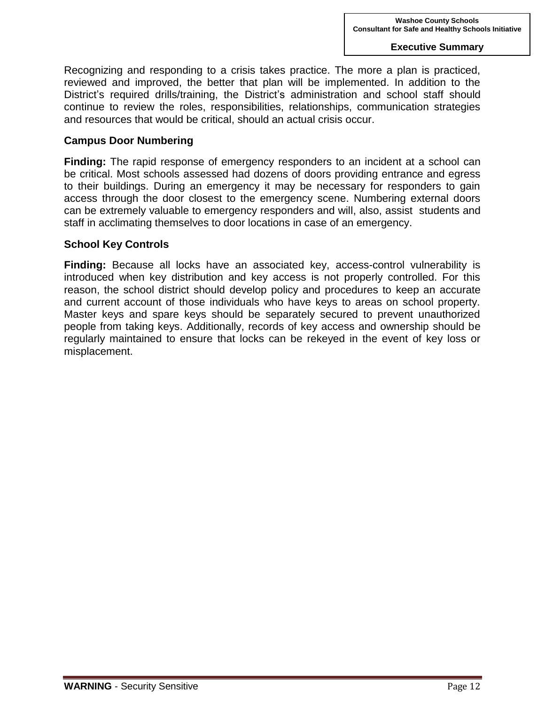Recognizing and responding to a crisis takes practice. The more a plan is practiced, reviewed and improved, the better that plan will be implemented. In addition to the District's required drills/training, the District's administration and school staff should continue to review the roles, responsibilities, relationships, communication strategies and resources that would be critical, should an actual crisis occur.

#### **Campus Door Numbering**

**Finding:** The rapid response of emergency responders to an incident at a school can be critical. Most schools assessed had dozens of doors providing entrance and egress to their buildings. During an emergency it may be necessary for responders to gain access through the door closest to the emergency scene. Numbering external doors can be extremely valuable to emergency responders and will, also, assist students and staff in acclimating themselves to door locations in case of an emergency.

## **School Key Controls**

**Finding:** Because all locks have an associated key, access-control vulnerability is introduced when key distribution and key access is not properly controlled. For this reason, the school district should develop policy and procedures to keep an accurate and current account of those individuals who have keys to areas on school property. Master keys and spare keys should be separately secured to prevent unauthorized people from taking keys. Additionally, records of key access and ownership should be regularly maintained to ensure that locks can be rekeyed in the event of key loss or misplacement.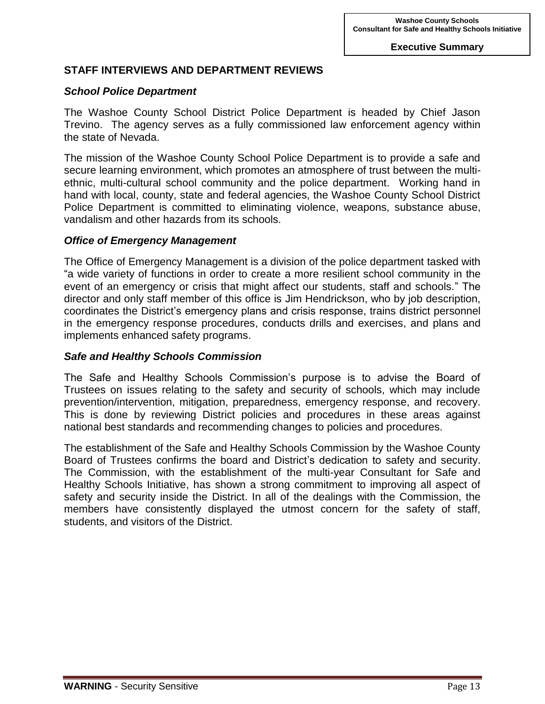# **STAFF INTERVIEWS AND DEPARTMENT REVIEWS**

# *School Police Department*

The Washoe County School District Police Department is headed by Chief Jason Trevino. The agency serves as a fully commissioned law enforcement agency within the state of Nevada.

The mission of the Washoe County School Police Department is to provide a safe and secure learning environment, which promotes an atmosphere of trust between the multiethnic, multi-cultural school community and the police department. Working hand in hand with local, county, state and federal agencies, the Washoe County School District Police Department is committed to eliminating violence, weapons, substance abuse, vandalism and other hazards from its schools.

#### *Office of Emergency Management*

The Office of Emergency Management is a division of the police department tasked with "a wide variety of functions in order to create a more resilient school community in the event of an emergency or crisis that might affect our students, staff and schools." The director and only staff member of this office is Jim Hendrickson, who by job description, coordinates the District's emergency plans and crisis response, trains district personnel in the emergency response procedures, conducts drills and exercises, and plans and implements enhanced safety programs.

## *Safe and Healthy Schools Commission*

The Safe and Healthy Schools Commission's purpose is to advise the Board of Trustees on issues relating to the safety and security of schools, which may include prevention/intervention, mitigation, preparedness, emergency response, and recovery. This is done by reviewing District policies and procedures in these areas against national best standards and recommending changes to policies and procedures.

The establishment of the Safe and Healthy Schools Commission by the Washoe County Board of Trustees confirms the board and District's dedication to safety and security. The Commission, with the establishment of the multi-year Consultant for Safe and Healthy Schools Initiative, has shown a strong commitment to improving all aspect of safety and security inside the District. In all of the dealings with the Commission, the members have consistently displayed the utmost concern for the safety of staff, students, and visitors of the District.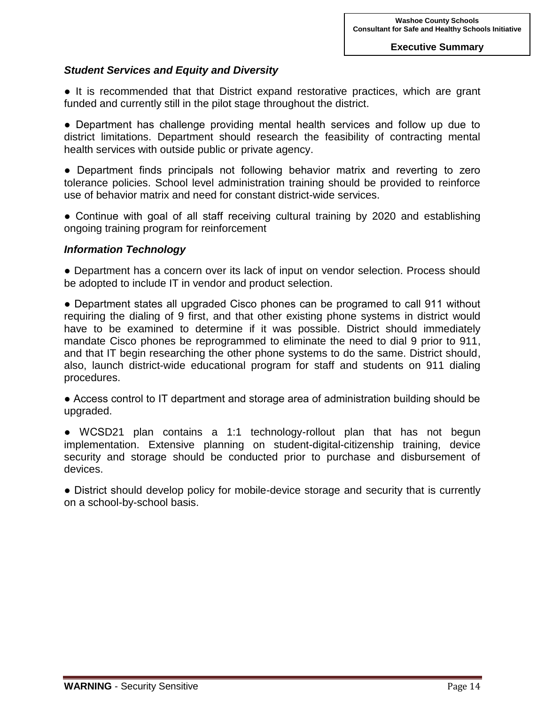#### *Student Services and Equity and Diversity*

● It is recommended that that District expand restorative practices, which are grant funded and currently still in the pilot stage throughout the district.

● Department has challenge providing mental health services and follow up due to district limitations. Department should research the feasibility of contracting mental health services with outside public or private agency.

● Department finds principals not following behavior matrix and reverting to zero tolerance policies. School level administration training should be provided to reinforce use of behavior matrix and need for constant district-wide services.

• Continue with goal of all staff receiving cultural training by 2020 and establishing ongoing training program for reinforcement

#### *Information Technology*

• Department has a concern over its lack of input on vendor selection. Process should be adopted to include IT in vendor and product selection.

● Department states all upgraded Cisco phones can be programed to call 911 without requiring the dialing of 9 first, and that other existing phone systems in district would have to be examined to determine if it was possible. District should immediately mandate Cisco phones be reprogrammed to eliminate the need to dial 9 prior to 911, and that IT begin researching the other phone systems to do the same. District should, also, launch district-wide educational program for staff and students on 911 dialing procedures.

● Access control to IT department and storage area of administration building should be upgraded.

● WCSD21 plan contains a 1:1 technology-rollout plan that has not begun implementation. Extensive planning on student-digital-citizenship training, device security and storage should be conducted prior to purchase and disbursement of devices.

• District should develop policy for mobile-device storage and security that is currently on a school-by-school basis.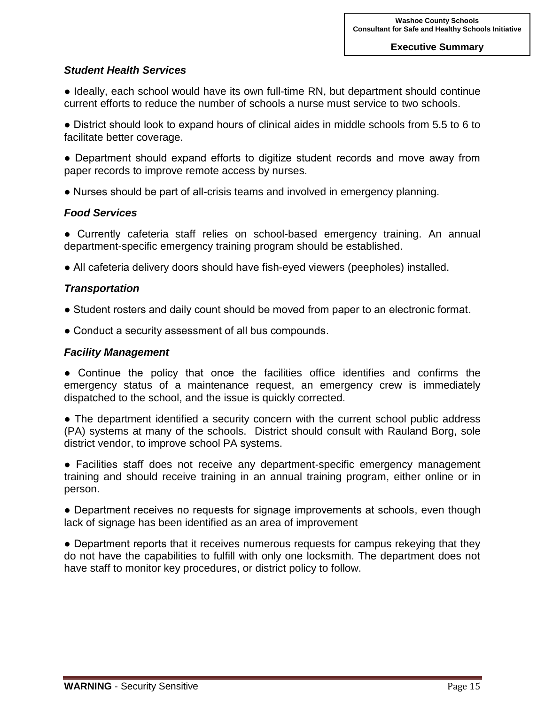#### *Student Health Services*

• Ideally, each school would have its own full-time RN, but department should continue current efforts to reduce the number of schools a nurse must service to two schools.

● District should look to expand hours of clinical aides in middle schools from 5.5 to 6 to facilitate better coverage.

● Department should expand efforts to digitize student records and move away from paper records to improve remote access by nurses.

● Nurses should be part of all-crisis teams and involved in emergency planning.

#### *Food Services*

● Currently cafeteria staff relies on school-based emergency training. An annual department-specific emergency training program should be established.

● All cafeteria delivery doors should have fish-eyed viewers (peepholes) installed.

#### *Transportation*

- Student rosters and daily count should be moved from paper to an electronic format.
- Conduct a security assessment of all bus compounds.

#### *Facility Management*

● Continue the policy that once the facilities office identifies and confirms the emergency status of a maintenance request, an emergency crew is immediately dispatched to the school, and the issue is quickly corrected.

• The department identified a security concern with the current school public address (PA) systems at many of the schools. District should consult with Rauland Borg, sole district vendor, to improve school PA systems.

● Facilities staff does not receive any department-specific emergency management training and should receive training in an annual training program, either online or in person.

● Department receives no requests for signage improvements at schools, even though lack of signage has been identified as an area of improvement

• Department reports that it receives numerous requests for campus rekeying that they do not have the capabilities to fulfill with only one locksmith. The department does not have staff to monitor key procedures, or district policy to follow.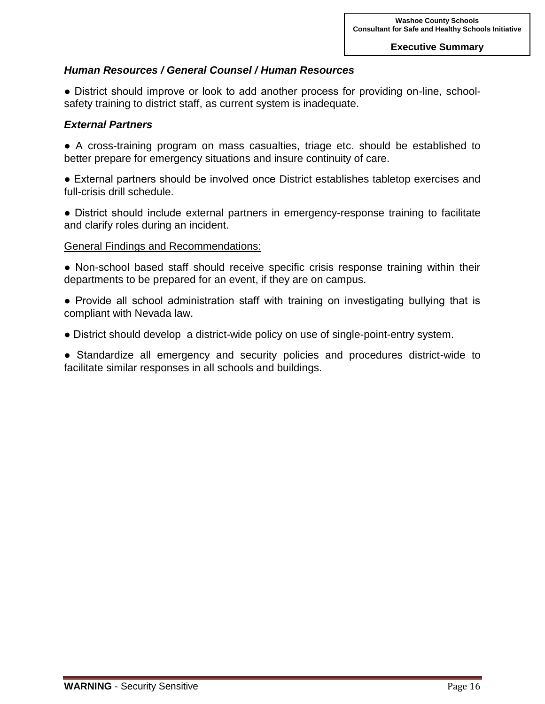## *Human Resources / General Counsel / Human Resources*

• District should improve or look to add another process for providing on-line, schoolsafety training to district staff, as current system is inadequate.

#### *External Partners*

● A cross-training program on mass casualties, triage etc. should be established to better prepare for emergency situations and insure continuity of care.

● External partners should be involved once District establishes tabletop exercises and full-crisis drill schedule.

● District should include external partners in emergency-response training to facilitate and clarify roles during an incident.

#### General Findings and Recommendations:

• Non-school based staff should receive specific crisis response training within their departments to be prepared for an event, if they are on campus.

- Provide all school administration staff with training on investigating bullying that is compliant with Nevada law.
- District should develop a district-wide policy on use of single-point-entry system.

● Standardize all emergency and security policies and procedures district-wide to facilitate similar responses in all schools and buildings.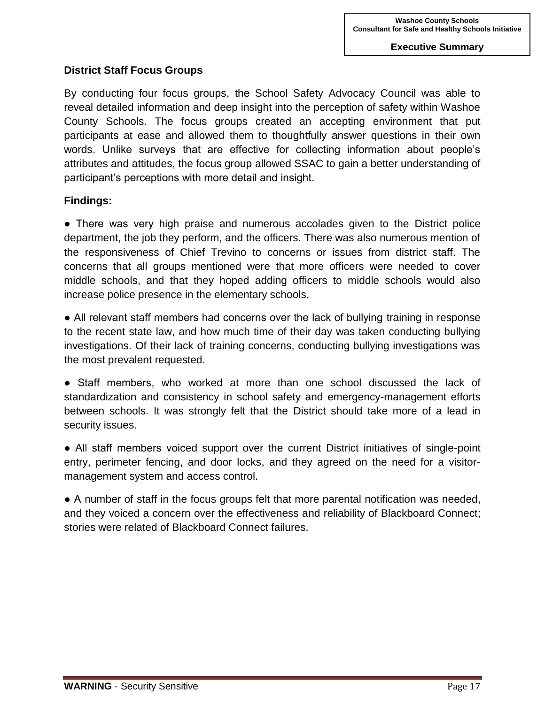# **District Staff Focus Groups**

By conducting four focus groups, the School Safety Advocacy Council was able to reveal detailed information and deep insight into the perception of safety within Washoe County Schools. The focus groups created an accepting environment that put participants at ease and allowed them to thoughtfully answer questions in their own words. Unlike surveys that are effective for collecting information about people's attributes and attitudes, the focus group allowed SSAC to gain a better understanding of participant's perceptions with more detail and insight.

# **Findings:**

• There was very high praise and numerous accolades given to the District police department, the job they perform, and the officers. There was also numerous mention of the responsiveness of Chief Trevino to concerns or issues from district staff. The concerns that all groups mentioned were that more officers were needed to cover middle schools, and that they hoped adding officers to middle schools would also increase police presence in the elementary schools.

• All relevant staff members had concerns over the lack of bullying training in response to the recent state law, and how much time of their day was taken conducting bullying investigations. Of their lack of training concerns, conducting bullying investigations was the most prevalent requested.

● Staff members, who worked at more than one school discussed the lack of standardization and consistency in school safety and emergency-management efforts between schools. It was strongly felt that the District should take more of a lead in security issues.

● All staff members voiced support over the current District initiatives of single-point entry, perimeter fencing, and door locks, and they agreed on the need for a visitormanagement system and access control.

● A number of staff in the focus groups felt that more parental notification was needed, and they voiced a concern over the effectiveness and reliability of Blackboard Connect; stories were related of Blackboard Connect failures.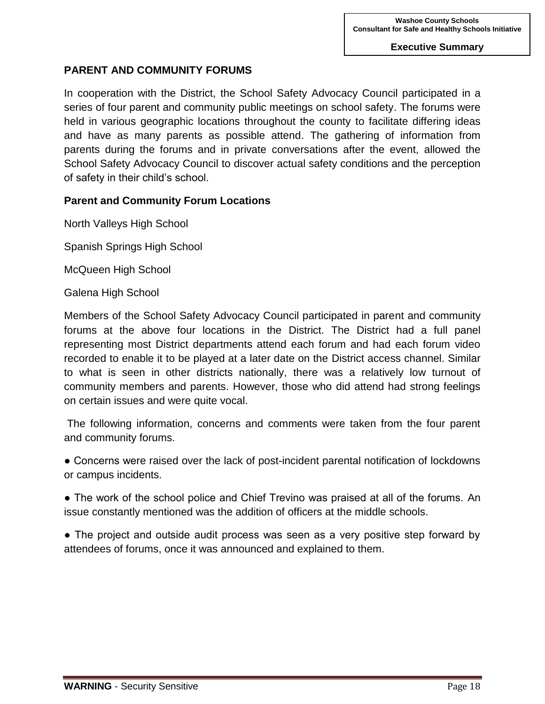# **PARENT AND COMMUNITY FORUMS**

In cooperation with the District, the School Safety Advocacy Council participated in a series of four parent and community public meetings on school safety. The forums were held in various geographic locations throughout the county to facilitate differing ideas and have as many parents as possible attend. The gathering of information from parents during the forums and in private conversations after the event, allowed the School Safety Advocacy Council to discover actual safety conditions and the perception of safety in their child's school.

## **Parent and Community Forum Locations**

North Valleys High School

Spanish Springs High School

McQueen High School

Galena High School

Members of the School Safety Advocacy Council participated in parent and community forums at the above four locations in the District. The District had a full panel representing most District departments attend each forum and had each forum video recorded to enable it to be played at a later date on the District access channel. Similar to what is seen in other districts nationally, there was a relatively low turnout of community members and parents. However, those who did attend had strong feelings on certain issues and were quite vocal.

The following information, concerns and comments were taken from the four parent and community forums.

• Concerns were raised over the lack of post-incident parental notification of lockdowns or campus incidents.

• The work of the school police and Chief Trevino was praised at all of the forums. An issue constantly mentioned was the addition of officers at the middle schools.

• The project and outside audit process was seen as a very positive step forward by attendees of forums, once it was announced and explained to them.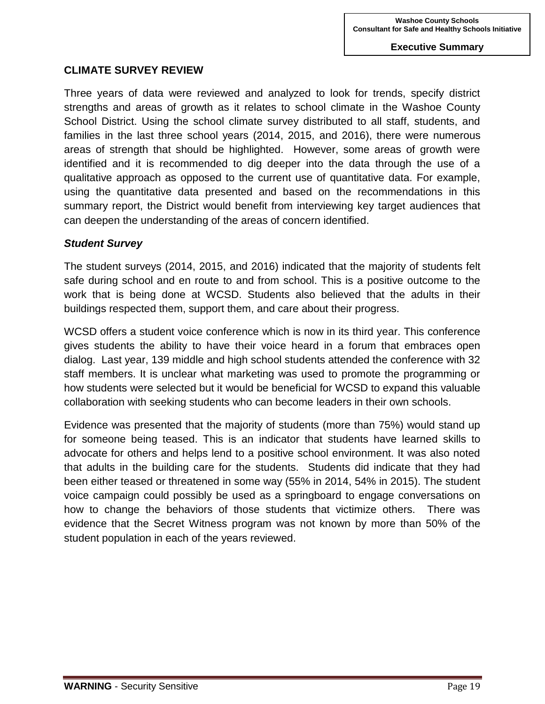# **CLIMATE SURVEY REVIEW**

Three years of data were reviewed and analyzed to look for trends, specify district strengths and areas of growth as it relates to school climate in the Washoe County School District. Using the school climate survey distributed to all staff, students, and families in the last three school years (2014, 2015, and 2016), there were numerous areas of strength that should be highlighted. However, some areas of growth were identified and it is recommended to dig deeper into the data through the use of a qualitative approach as opposed to the current use of quantitative data. For example, using the quantitative data presented and based on the recommendations in this summary report, the District would benefit from interviewing key target audiences that can deepen the understanding of the areas of concern identified.

## *Student Survey*

The student surveys (2014, 2015, and 2016) indicated that the majority of students felt safe during school and en route to and from school. This is a positive outcome to the work that is being done at WCSD. Students also believed that the adults in their buildings respected them, support them, and care about their progress.

WCSD offers a student voice conference which is now in its third year. This conference gives students the ability to have their voice heard in a forum that embraces open dialog. Last year, 139 middle and high school students attended the conference with 32 staff members. It is unclear what marketing was used to promote the programming or how students were selected but it would be beneficial for WCSD to expand this valuable collaboration with seeking students who can become leaders in their own schools.

Evidence was presented that the majority of students (more than 75%) would stand up for someone being teased. This is an indicator that students have learned skills to advocate for others and helps lend to a positive school environment. It was also noted that adults in the building care for the students. Students did indicate that they had been either teased or threatened in some way (55% in 2014, 54% in 2015). The student voice campaign could possibly be used as a springboard to engage conversations on how to change the behaviors of those students that victimize others. There was evidence that the Secret Witness program was not known by more than 50% of the student population in each of the years reviewed.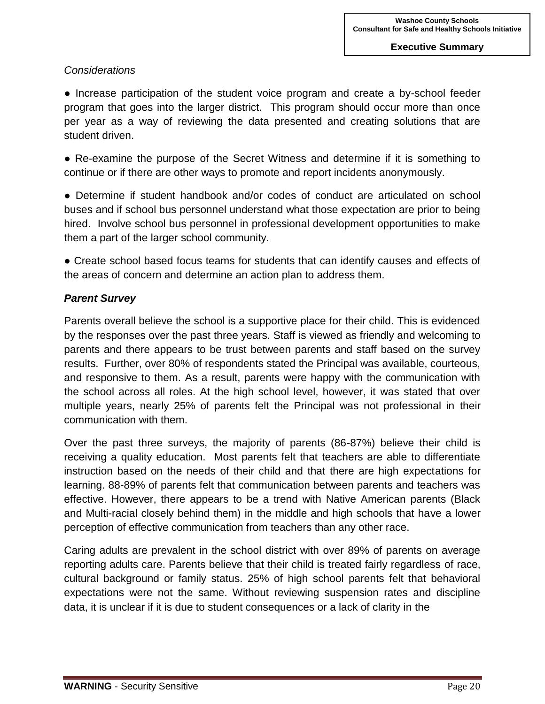# *Considerations*

• Increase participation of the student voice program and create a by-school feeder program that goes into the larger district. This program should occur more than once per year as a way of reviewing the data presented and creating solutions that are student driven.

● Re-examine the purpose of the Secret Witness and determine if it is something to continue or if there are other ways to promote and report incidents anonymously.

● Determine if student handbook and/or codes of conduct are articulated on school buses and if school bus personnel understand what those expectation are prior to being hired. Involve school bus personnel in professional development opportunities to make them a part of the larger school community.

• Create school based focus teams for students that can identify causes and effects of the areas of concern and determine an action plan to address them.

# *Parent Survey*

Parents overall believe the school is a supportive place for their child. This is evidenced by the responses over the past three years. Staff is viewed as friendly and welcoming to parents and there appears to be trust between parents and staff based on the survey results. Further, over 80% of respondents stated the Principal was available, courteous, and responsive to them. As a result, parents were happy with the communication with the school across all roles. At the high school level, however, it was stated that over multiple years, nearly 25% of parents felt the Principal was not professional in their communication with them.

Over the past three surveys, the majority of parents (86-87%) believe their child is receiving a quality education. Most parents felt that teachers are able to differentiate instruction based on the needs of their child and that there are high expectations for learning. 88-89% of parents felt that communication between parents and teachers was effective. However, there appears to be a trend with Native American parents (Black and Multi-racial closely behind them) in the middle and high schools that have a lower perception of effective communication from teachers than any other race.

Caring adults are prevalent in the school district with over 89% of parents on average reporting adults care. Parents believe that their child is treated fairly regardless of race, cultural background or family status. 25% of high school parents felt that behavioral expectations were not the same. Without reviewing suspension rates and discipline data, it is unclear if it is due to student consequences or a lack of clarity in the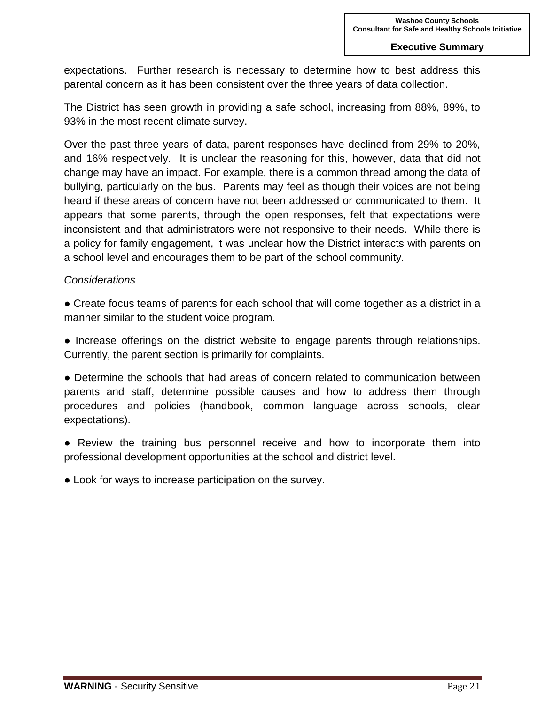expectations. Further research is necessary to determine how to best address this parental concern as it has been consistent over the three years of data collection.

The District has seen growth in providing a safe school, increasing from 88%, 89%, to 93% in the most recent climate survey.

Over the past three years of data, parent responses have declined from 29% to 20%, and 16% respectively. It is unclear the reasoning for this, however, data that did not change may have an impact. For example, there is a common thread among the data of bullying, particularly on the bus. Parents may feel as though their voices are not being heard if these areas of concern have not been addressed or communicated to them. It appears that some parents, through the open responses, felt that expectations were inconsistent and that administrators were not responsive to their needs. While there is a policy for family engagement, it was unclear how the District interacts with parents on a school level and encourages them to be part of the school community.

## *Considerations*

● Create focus teams of parents for each school that will come together as a district in a manner similar to the student voice program.

● Increase offerings on the district website to engage parents through relationships. Currently, the parent section is primarily for complaints.

● Determine the schools that had areas of concern related to communication between parents and staff, determine possible causes and how to address them through procedures and policies (handbook, common language across schools, clear expectations).

• Review the training bus personnel receive and how to incorporate them into professional development opportunities at the school and district level.

• Look for ways to increase participation on the survey.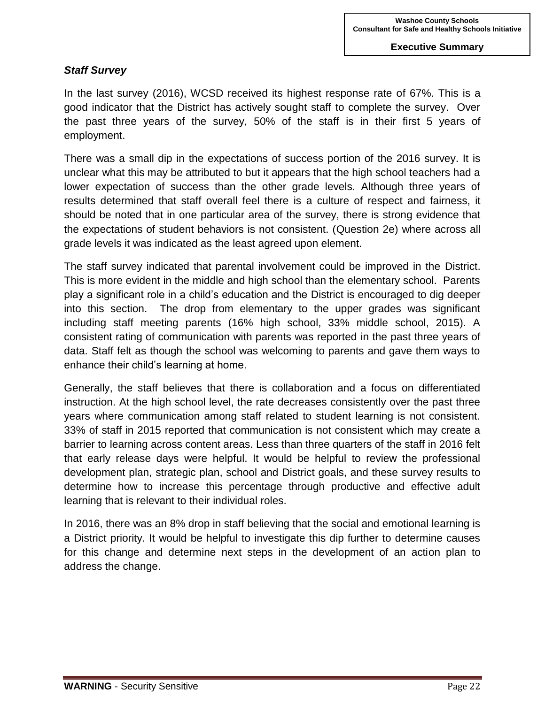# *Staff Survey*

In the last survey (2016), WCSD received its highest response rate of 67%. This is a good indicator that the District has actively sought staff to complete the survey. Over the past three years of the survey, 50% of the staff is in their first 5 years of employment.

There was a small dip in the expectations of success portion of the 2016 survey. It is unclear what this may be attributed to but it appears that the high school teachers had a lower expectation of success than the other grade levels. Although three years of results determined that staff overall feel there is a culture of respect and fairness, it should be noted that in one particular area of the survey, there is strong evidence that the expectations of student behaviors is not consistent. (Question 2e) where across all grade levels it was indicated as the least agreed upon element.

The staff survey indicated that parental involvement could be improved in the District. This is more evident in the middle and high school than the elementary school. Parents play a significant role in a child's education and the District is encouraged to dig deeper into this section. The drop from elementary to the upper grades was significant including staff meeting parents (16% high school, 33% middle school, 2015). A consistent rating of communication with parents was reported in the past three years of data. Staff felt as though the school was welcoming to parents and gave them ways to enhance their child's learning at home.

Generally, the staff believes that there is collaboration and a focus on differentiated instruction. At the high school level, the rate decreases consistently over the past three years where communication among staff related to student learning is not consistent. 33% of staff in 2015 reported that communication is not consistent which may create a barrier to learning across content areas. Less than three quarters of the staff in 2016 felt that early release days were helpful. It would be helpful to review the professional development plan, strategic plan, school and District goals, and these survey results to determine how to increase this percentage through productive and effective adult learning that is relevant to their individual roles.

In 2016, there was an 8% drop in staff believing that the social and emotional learning is a District priority. It would be helpful to investigate this dip further to determine causes for this change and determine next steps in the development of an action plan to address the change.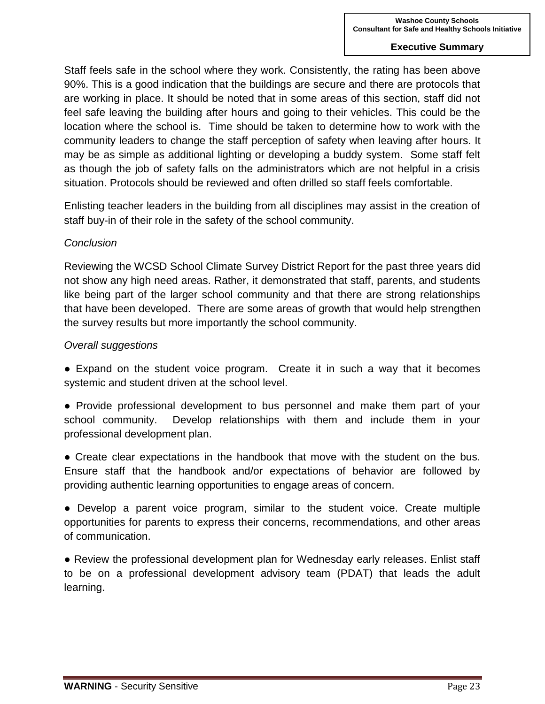Staff feels safe in the school where they work. Consistently, the rating has been above 90%. This is a good indication that the buildings are secure and there are protocols that are working in place. It should be noted that in some areas of this section, staff did not feel safe leaving the building after hours and going to their vehicles. This could be the location where the school is. Time should be taken to determine how to work with the community leaders to change the staff perception of safety when leaving after hours. It may be as simple as additional lighting or developing a buddy system. Some staff felt as though the job of safety falls on the administrators which are not helpful in a crisis situation. Protocols should be reviewed and often drilled so staff feels comfortable.

Enlisting teacher leaders in the building from all disciplines may assist in the creation of staff buy-in of their role in the safety of the school community.

#### *Conclusion*

Reviewing the WCSD School Climate Survey District Report for the past three years did not show any high need areas. Rather, it demonstrated that staff, parents, and students like being part of the larger school community and that there are strong relationships that have been developed. There are some areas of growth that would help strengthen the survey results but more importantly the school community.

#### *Overall suggestions*

• Expand on the student voice program. Create it in such a way that it becomes systemic and student driven at the school level.

● Provide professional development to bus personnel and make them part of your school community. Develop relationships with them and include them in your professional development plan.

● Create clear expectations in the handbook that move with the student on the bus. Ensure staff that the handbook and/or expectations of behavior are followed by providing authentic learning opportunities to engage areas of concern.

● Develop a parent voice program, similar to the student voice. Create multiple opportunities for parents to express their concerns, recommendations, and other areas of communication.

• Review the professional development plan for Wednesday early releases. Enlist staff to be on a professional development advisory team (PDAT) that leads the adult learning.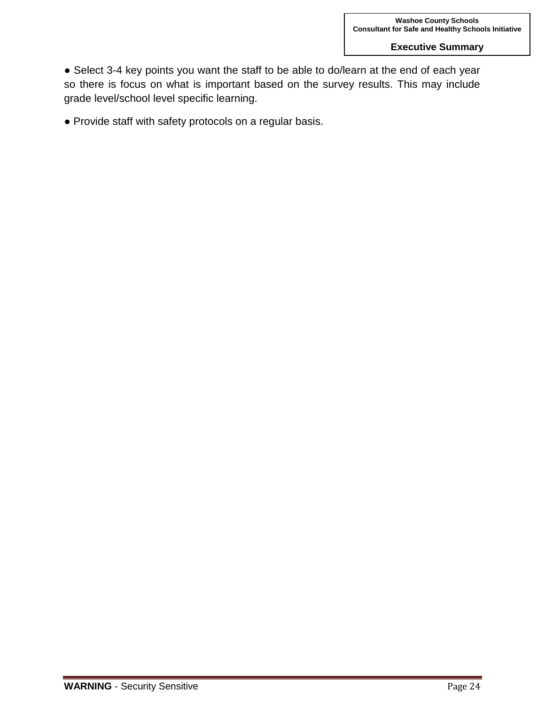● Select 3-4 key points you want the staff to be able to do/learn at the end of each year so there is focus on what is important based on the survey results. This may include grade level/school level specific learning.

● Provide staff with safety protocols on a regular basis.